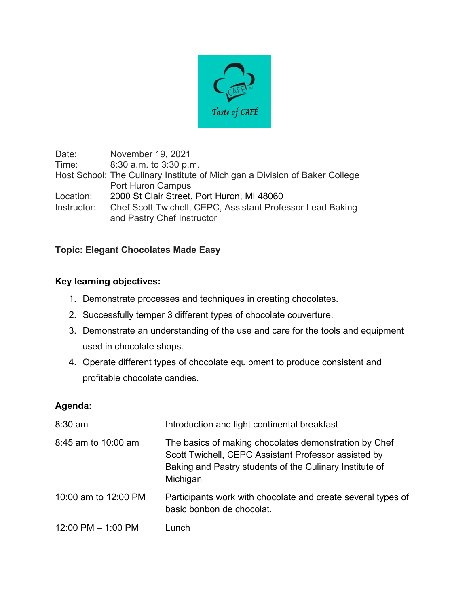

Date: November 19, 2021 Time: 8:30 a.m. to 3:30 p.m. Host School: The Culinary Institute of Michigan a Division of Baker College Port Huron Campus Location: 2000 St Clair Street, Port Huron, MI 48060 Instructor: Chef Scott Twichell, CEPC, Assistant Professor Lead Baking and Pastry Chef Instructor

## **Topic: Elegant Chocolates Made Easy**

## **Key learning objectives:**

- 1. Demonstrate processes and techniques in creating chocolates.
- 2. Successfully temper 3 different types of chocolate couverture.
- 3. Demonstrate an understanding of the use and care for the tools and equipment used in chocolate shops.
- 4. Operate different types of chocolate equipment to produce consistent and profitable chocolate candies.

## **Agenda:**

| $8:30$ am              | Introduction and light continental breakfast                                                                                                                                         |
|------------------------|--------------------------------------------------------------------------------------------------------------------------------------------------------------------------------------|
| 8:45 am to 10:00 am    | The basics of making chocolates demonstration by Chef<br>Scott Twichell, CEPC Assistant Professor assisted by<br>Baking and Pastry students of the Culinary Institute of<br>Michigan |
| 10:00 am to 12:00 PM   | Participants work with chocolate and create several types of<br>basic bonbon de chocolat.                                                                                            |
| $12:00$ PM $-$ 1:00 PM | Lunch                                                                                                                                                                                |